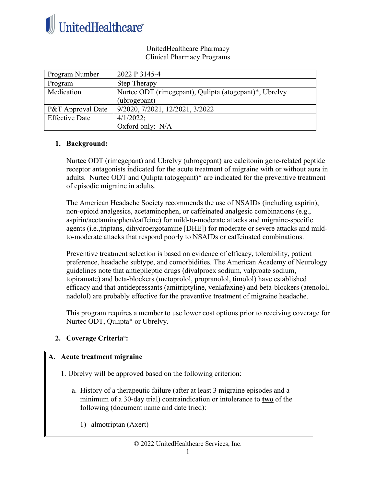

#### UnitedHealthcare Pharmacy Clinical Pharmacy Programs

| Program Number               | 2022 P 3145-4                                          |
|------------------------------|--------------------------------------------------------|
| Program                      | <b>Step Therapy</b>                                    |
| Medication                   | Nurtec ODT (rimegepant), Qulipta (atogepant)*, Ubrelvy |
|                              | (ubrogepant)                                           |
| <b>P&amp;T</b> Approval Date | 9/2020, 7/2021, 12/2021, 3/2022                        |
| <b>Effective Date</b>        | $4/1/2022$ ;                                           |
|                              | Oxford only: N/A                                       |

#### **1. Background:**

Nurtec ODT (rimegepant) and Ubrelvy (ubrogepant) are calcitonin gene-related peptide receptor antagonists indicated for the acute treatment of migraine with or without aura in adults. Nurtec ODT and Qulipta (atogepant)\* are indicated for the preventive treatment of episodic migraine in adults.

The American Headache Society recommends the use of NSAIDs (including aspirin), non-opioid analgesics, acetaminophen, or caffeinated analgesic combinations (e.g., aspirin/acetaminophen/caffeine) for mild‐to‐moderate attacks and migraine‐specific agents (i.e.,triptans, dihydroergotamine [DHE]) for moderate or severe attacks and mild‐ to‐moderate attacks that respond poorly to NSAIDs or caffeinated combinations.

Preventive treatment selection is based on evidence of efficacy, tolerability, patient preference, headache subtype, and comorbidities. The American Academy of Neurology guidelines note that antiepileptic drugs (divalproex sodium, valproate sodium, topiramate) and beta-blockers (metoprolol, propranolol, timolol) have established efficacy and that antidepressants (amitriptyline, venlafaxine) and beta-blockers (atenolol, nadolol) are probably effective for the preventive treatment of migraine headache.

This program requires a member to use lower cost options prior to receiving coverage for Nurtec ODT, Qulipta\* or Ubrelvy.

#### 2. Coverage Criteria<sup>a</sup>:

#### **A. Acute treatment migraine**

- 1. Ubrelvy will be approved based on the following criterion:
	- a. History of a therapeutic failure (after at least 3 migraine episodes and a minimum of a 30-day trial) contraindication or intolerance to **two** of the following (document name and date tried):
		- 1) almotriptan (Axert)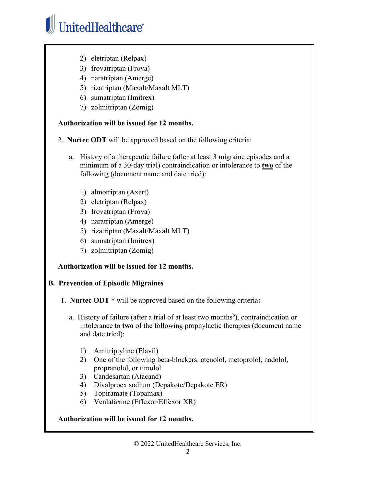# UnitedHealthcare®

- 2) eletriptan (Relpax)
- 3) frovatriptan (Frova)
- 4) naratriptan (Amerge)
- 5) rizatriptan (Maxalt/Maxalt MLT)
- 6) sumatriptan (Imitrex)
- 7) zolmitriptan (Zomig)

## **Authorization will be issued for 12 months.**

- 2. **Nurtec ODT** will be approved based on the following criteria:
	- a. History of a therapeutic failure (after at least 3 migraine episodes and a minimum of a 30-day trial) contraindication or intolerance to **two** of the following (document name and date tried):
		- 1) almotriptan (Axert)
		- 2) eletriptan (Relpax)
		- 3) frovatriptan (Frova)
		- 4) naratriptan (Amerge)
		- 5) rizatriptan (Maxalt/Maxalt MLT)
		- 6) sumatriptan (Imitrex)
		- 7) zolmitriptan (Zomig)

# **Authorization will be issued for 12 months.**

# **B. Prevention of Episodic Migraines**

- 1. **Nurtec ODT \*** will be approved based on the following criteria**:**
	- a. History of failure (after a trial of at least two months<sup>b</sup>), contraindication or intolerance to **two** of the following prophylactic therapies (document name and date tried):
		- 1) Amitriptyline (Elavil)
		- 2) One of the following beta-blockers: atenolol, metoprolol, nadolol, propranolol, or timolol
		- 3) Candesartan (Atacand)
		- 4) Divalproex sodium (Depakote/Depakote ER)
		- 5) Topiramate (Topamax)
		- 6) Venlafaxine (Effexor/Effexor XR)

# **Authorization will be issued for 12 months.**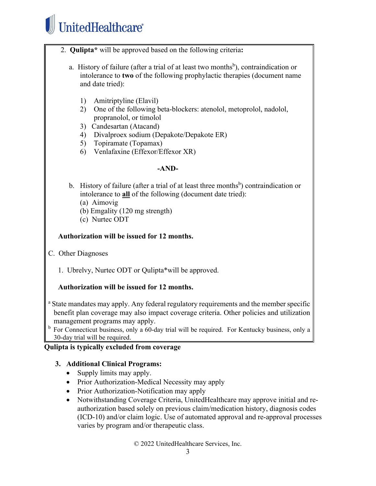# UnitedHealthcare®

- 2. **Qulipta\*** will be approved based on the following criteria**:**
	- a. History of failure (after a trial of at least two months<sup>b</sup>), contraindication or intolerance to **two** of the following prophylactic therapies (document name and date tried):
		- 1) Amitriptyline (Elavil)
		- 2) One of the following beta-blockers: atenolol, metoprolol, nadolol, propranolol, or timolol
		- 3) Candesartan (Atacand)
		- 4) Divalproex sodium (Depakote/Depakote ER)
		- 5) Topiramate (Topamax)
		- 6) Venlafaxine (Effexor/Effexor XR)

#### **-AND-**

- b. History of failure (after a trial of at least three months<sup>b</sup>) contraindication or intolerance to **all** of the following (document date tried):
	- (a) Aimovig
	- (b) Emgality (120 mg strength)
	- (c) Nurtec ODT

## **Authorization will be issued for 12 months.**

- C. Other Diagnoses
	- 1. Ubrelvy, Nurtec ODT or Qulipta\*will be approved.

# **Authorization will be issued for 12 months.**

- <sup>a</sup> State mandates may apply. Any federal regulatory requirements and the member specific benefit plan coverage may also impact coverage criteria. Other policies and utilization management programs may apply.
- <sup>b</sup> For Connecticut business, only a 60-day trial will be required. For Kentucky business, only a 30-day trial will be required.

#### **Qulipta is typically excluded from coverage**

#### **3. Additional Clinical Programs:**

- Supply limits may apply.
- Prior Authorization-Medical Necessity may apply
- Prior Authorization-Notification may apply
- Notwithstanding Coverage Criteria, UnitedHealthcare may approve initial and reauthorization based solely on previous claim/medication history, diagnosis codes (ICD-10) and/or claim logic. Use of automated approval and re-approval processes varies by program and/or therapeutic class.

© 2022 UnitedHealthcare Services, Inc.